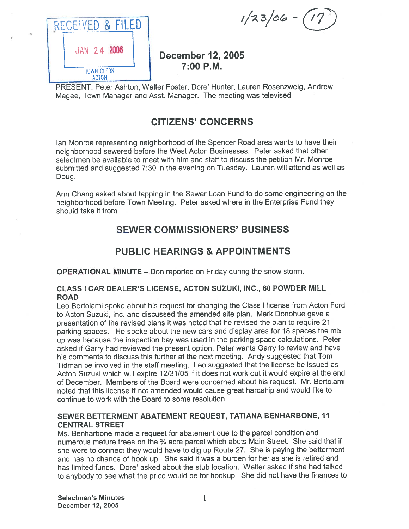| RECEIVED & FILED                  |  |
|-----------------------------------|--|
| JAN 24 2006                       |  |
| <b>TOWN CLERK</b><br><b>ACTON</b> |  |

# December 12, 2005 7:00 P.M.

PRESENT: Peter Ashton, Walter Foster, Dore' Hunter, Lauren Rosenzweig, Andrew Magee, Town Manager and Asst. Manager. The meeting was televised

# CITIZENS' CONCERNS

Ian Monroe representing neighborhood of the Spencer Road area wants to have their neighborhood sewered before the West Acton Businesses. Peter asked that other selectmen be available to meet with him and staff to discuss the petition Mr. Monroe submitted and suggested 7:30 in the evening on Tuesday. Lauren will attend as well as Doug.

Ann Chang asked about tapping in the Sewer Loan Fund to do some engineering on the neighborhood before Town Meeting. Peter asked where in the Enterprise Fund they should take it from.

# SEWER COMMISSIONERS' BUSINESS

# PUBLIC HEARINGS & APPOINTMENTS

OPERATIONAL MINUTE —.Don reported on Friday during the snow storm.

### CLASS I CAR DEALER'S LICENSE, ACTON SUZUKI, INC., 60 POWDER MILL ROAD

Leo Bertolami spoke about his reques<sup>t</sup> for changing the Class <sup>I</sup> license from Acton Ford to Acton Suzuki, Inc. and discussed the amended site plan. Mark Donohue gave <sup>a</sup> presentation of the revised <sup>p</sup>lans it was noted that he revised the <sup>p</sup>lan to require <sup>21</sup> parking spaces. He spoke about the new cars and display area for <sup>18</sup> spaces the mix up was because the inspection bay was used in the parking space calculations. Peter asked if Garry had reviewed the presen<sup>t</sup> option, Peter wants Garry to review and have his comments to discuss this further at the next meeting. Andy suggested that Tom Tidman be involved in the staff meeting. Leo suggested that the license be issued as Acton Suzuki which will expire 12/31/05 if it does not work out it would expire at the end of December. Members of the Board were concerned about his request. Mr. Bertolami noted that this license if not amended would cause grea<sup>t</sup> hardship and would like to continue to work with the Board to some resolution.

### SEWER BETTERMENT ABATEMENT REQUEST, TATIANA BENHARBONE, 11 CENTRAL STREET

Ms. Benharbone made <sup>a</sup> reques<sup>t</sup> for abatement due to the parce<sup>l</sup> condition and numerous mature trees on the  $\frac{3}{4}$  acre parcel which abuts Main Street. She said that if she were to connect they would have to dig up Route 27. She is paying the betterment and has no chance of hook up. She said it was <sup>a</sup> burden for her as she is retired and has limited funds. Dore' asked about the stub location. Walter asked if she had talked to anybody to see what the price would be for hookup. She did not have the finances to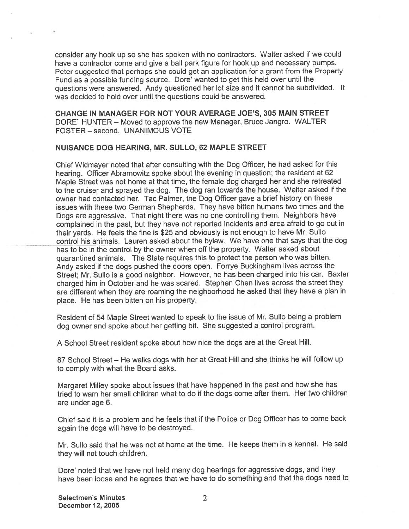consider any hook up so she has spoken with no contractors. Walter asked if we could have <sup>a</sup> contractor come and give <sup>a</sup> ball park figure for hook up and necessary pumps. Peter suggested that perhaps she could get an application for a grant from the Property Fund as <sup>a</sup> possible funding source. Dore' wanted to ge<sup>t</sup> this held over until the questions were answered. Andy questioned her lot size and it cannot be subdivided. It was decided to hold over until the questions could be answered.

CHANGE IN MANAGER FOR NOT YOUR AVERAGE JOE'S, 305 MAIN STREET DORE' HUNTER — Moved to approve the new Manager, Bruce Jangro. WALTER FOSTER — second. UNANIMOUS VOTE

#### NUISANCE DOG HEARING, MR. SULLO, 62 MAPLE STREET

Chief Widmayer noted that after consulting with the Dog Officer, he had asked for this hearing. Officer Abramowitz spoke about the evening in question; the resident at 62 Maple Street was not home at that time, the female dog charged her and she retreated to the cruiser and sprayed the dog. The dog ran towards the house. Walter asked if the owner had contacted her. Tac Palmer, the Dog Officer gave <sup>a</sup> brief history on these issues with these two German Shepherds. They have bitten humans two times and the Dogs are aggressive. That night there was no one controlling them. Neighbors have complained in the past, but they have not reported incidents and area afraid to go out in their yards. He feels the fine is \$25 and obviously is not enoug<sup>h</sup> to have Mr. Sullo control his animals. Lauren asked about the bylaw. We have one that says that the dog has to be in the control by the owner when off the property. Walter asked about quarantined animals. The State requires this to protect the person who was bitten. Andy asked if the dogs pushed the doors open. Forrye Buckingham lives across the Street; Mr. Sullo is <sup>a</sup> goo<sup>d</sup> neighbor. However, he has been charged into his car. Baxter charged him in October and he was scared. Stephen Chen lives across the street they are different when they are roaming the neighborhood he asked that they have <sup>a</sup> <sup>p</sup>lan in place. He has been bitten on his property.

Resident of <sup>54</sup> Maple Street wanted to spea<sup>k</sup> to the issue of Mr. Sullo being <sup>a</sup> problem dog owner and spoke about her getting bit. She suggested <sup>a</sup> control program.

<sup>A</sup> School Street resident spoke about how nice the dogs are at the Great Hill.

<sup>87</sup> School Street — He walks dogs with her at Great Hill and she thinks he will follow up to comply with what the Board asks.

Margaret Milley spoke about issues that have happened in the pas<sup>t</sup> and how she has tried to warn her small children what to do if the dogs come after them. Her two children are under age 6.

Chief said it is <sup>a</sup> problem and he feels that if the Police or Dog Officer has to come back again the dogs will have to be destroyed.

Mr. Sullo said that he was not at home at the time. He keeps them in <sup>a</sup> kennel. He said they will not touch children.

Dore' noted that we have not held many dog hearings for aggressive dogs, and they have been loose and he agrees that we have to do something and that the dogs need to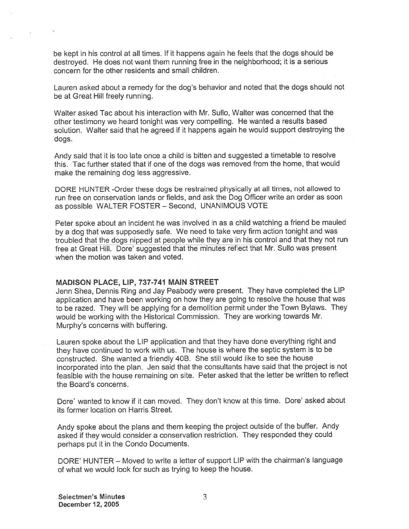be kept in his control at all times. If it happens again he feels that the dogs should be destroyed. He does not want them running free in the neighborhood; it is <sup>a</sup> serious concern for the other residents and small children.

Lauren asked about <sup>a</sup> remedy for the dog's behavior and noted that the dogs should not be at Great Hill freely running.

Walter asked Tac about his interaction with Mr. Sullo, Walter was concerned that the other testimony we heard tonight was very compelling. He wanted <sup>a</sup> results based solution. Walter said that he agree<sup>d</sup> if it happens again he would suppor<sup>t</sup> destroying the dogs.

Andy said that it is too late once <sup>a</sup> child is bitten and suggested <sup>a</sup> timetable to resolve this. Tac further stated that if one of the dogs was removed from the home, that would make the remaining dog less aggressive.

DORE HUNTER -Order these dogs be restrained <sup>p</sup>hysically at all times, not allowed to run free on conservation lands or fields, and ask the Dog Officer write an order as soon as possible WALTER FOSTER — Second, UNANIMOUS VOTE

Peter spoke about an incident he was involved in as <sup>a</sup> child watching <sup>a</sup> friend be mauled by <sup>a</sup> dog that was supposedly safe. We need to take very firm action tonight and was troubled that the dogs nipped at people while they are in his control and that they not run free at Great Hill. Dore' suggested that the minutes reflect that Mr. Sullo was present when the motion was taken and voted.

### MADISON PLACE, LIP, 737-741 MAIN STREET

Jenn Shea, Dennis Ring and Jay Peabody were present. They have completed the LIP application and have been working on how they are going to resolve the house that was to be razed. They will be applying for <sup>a</sup> demolition permit under the Town Bylaws. They would be working with the Historical Commission. They are working towards Mr. Murphy's concerns with buffering.

Lauren spoke about the LIP application and that they have done everything right and they have continued to work with us. The house is where the septic system is to be constructed. She wanted <sup>a</sup> friendly 40B. She still would like to see the house incorporated into the <sup>p</sup>lan. Jen said that the consultants have said that the project is not feasible with the house remaining on site. Peter asked that the letter be written to reflect the Board's concerns.

Dore' wanted to know if it can moved. They don't know at this time. Dore' asked about its former location on Harris Street.

Andy spoke about the <sup>p</sup>lans and them keeping the project outside of the buffer. Andy asked if they would consider <sup>a</sup> conservation restriction. They responded they could perhaps pu<sup>t</sup> it in the Condo Documents.

DORE' HUNTER — Moved to write <sup>a</sup> letter of suppor<sup>t</sup> LIP with the chairman's language of what we would look for such as trying to keep the house.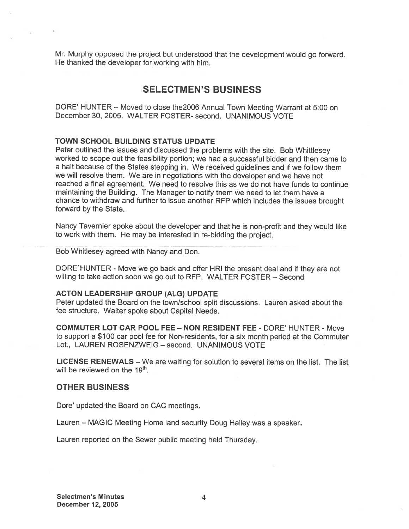Mr. Murphy oppose<sup>d</sup> the project but understood that the development would go forward. He thanked the developer for working with him.

### SELECTMEN'S BUSINESS

DORE' HUNTER — Moved to close the2006 Annual Town Meeting Warrant at 5:00 on December 30, 2005. WALTER FOSTER- second. UNANIMOUS VOTE

### TOWN SCHOOL BUILDING STATUS UPDATE

Peter outlined the issues and discussed the problems with the site. Bob Whittlesey worked to scope out the feasibility portion; we had <sup>a</sup> successful bidder and then came to <sup>a</sup> halt because of the States stepping in. We received guidelines and if we follow them we will resolve them. We are in negotiations with the developer and we have not reached <sup>a</sup> final agreement. We need to resolve this as we do not have funds to continue maintaining the Building. The Manager to notify them we need to let them have <sup>a</sup> chance to withdraw and further to issue another RFP which includes the issues brought forward by the State.

Nancy Tavernier spoke about the developer and that he is non-profit and they would like to work with them. He may be interested in re-bidding the project.

Bob Whitlesey agreed with Nancy and Don.

DORE HUNTER - Move we go back and offer HRI the present deal and if they are not willing to take action soon we go out to REP. WALTER FOSTER — Second

#### ACTON LEADERSHIP GROUP (ALG) UPDATE

Peter updated the Board on the town/school split discussions. Lauren asked about the fee structure. Walter spoke about Capital Needs.

COMMUTER LOT CAR POOL FEE -NON RESIDENT FEE - DORE' HUNTER - Move to suppor<sup>t</sup> <sup>a</sup> \$100 car pool fee for Non-residents, for <sup>a</sup> six month period at the Commuter Lot., LAUREN ROSENZWEIG - second. UNANIMOUS VOTE

LICENSE RENEWALS — We are waiting for solution to several items on the list. The list will be reviewed on the  $19<sup>th</sup>$ .

### OTHER BUSINESS

Dore' updated the Board on CAC meetings.

Lauren — MAGIC Meeting Home land security Doug Halley was <sup>a</sup> speaker.

Lauren reported on the Sewer public meeting held Thursday.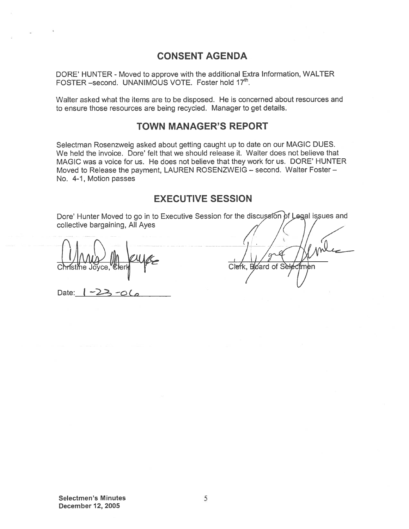### CONSENT AGENDA

DORE' HUNTER - Moved to approve with the additional Extra Information, WALTER FOSTER –second. UNANIMOUS VOTE. Foster hold 17<sup>th</sup>.

Walter asked what the items are to be disposed. He is concerned about resources and to ensure those resources are being recycled. Manager to ge<sup>t</sup> details.

### TOWN MANAGER'S REPORT

Selectman Rosenzweig asked about getting caught up to date on our MAGIC DUES. We held the invoice. Dore' felt that we should release it. Walter does not believe that MAGIC was <sup>a</sup> voice for us. He does not believe that they work for us. DORE' HUNTER Moved to Release the payment, LAUREN ROSENZWEIG — second. Walter Foster — No. 4-1, Motion passes

### EXECUTIVE SESSION

Dore' Hunter Moved to go in to Executive Session for the discussion of Legal issues and collective bargaining, All Ayes

Christine Joyce

Date:  $\left| \frac{1}{2} \right|$ 

Clefk. Board of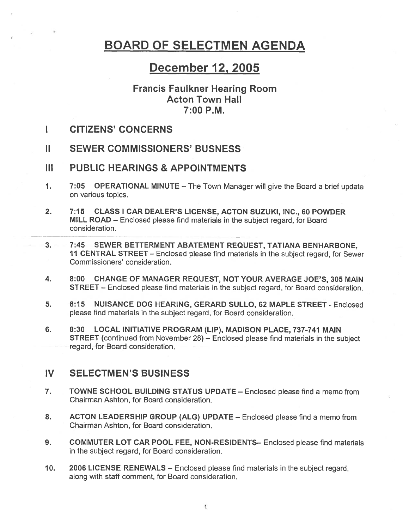# BOARD OF SELECTMEN AGENDA

# December 12, 2005

### Francis Faulkner Hearing Room Acton Town Hall 7:00 P.M.

- I CITIZENS' CONCERNS
- II SEWER COMMISSIONERS' BUSNESS
- III PUBLIC HEARINGS & APPOINTMENTS
- 1. 7:05 OPERATIONAL MINUTE The Town Manager will <sup>g</sup>ive the Board <sup>a</sup> brief update on various topics.
- 2. 7:15 CLASS I CAR DEALER'S LICENSE, ACTON SUZUKI, INC., 60 POWDER MILL ROAD — Enclosed please find materials in the subject regard, for Board consideration.
- 3. 7:45 SEWER BETTERMENT ABATEMENT REQUEST, TATIANA BENHARBONE, <sup>11</sup> CENTRAL STREET — Enclosed <sup>p</sup>lease find materials in the subject regard, for Sewer Commissioners' consideration.
- 4. 8:00 CHANGE OF MANAGER REQUEST, NOT YOUR AVERAGE JOE'S, 305 MAIN STREET — Enclosed please find materials in the subject regard, for Board consideration.
- 5. 8:15 NUISANCE DOG HEARING, GERARD SULLO, 62 MAPLE STREET Enclosed please find materials in the subject regard, for Board consideration.
- 6. 8:30 LOCAL INITIATIVE PROGRAM (LIP), MADISON PLACE, 737-741 MAIN STREET (continued from November 28) — Enclosed <sup>p</sup>lease find materials in the subject regard, for Board consideration.

### IV SELECTMEN'S BUSINESS

- 7. TOWNE SCHOOL BUILDING STATUS UPDATE Enclosed please find <sup>a</sup> memo from Chairman Ashton, for Board consideration.
- 8. ACTON LEADERSHIP GROUP (ALG) UPDATE Enclosed please find a memo from Chairman Ashton, for Board consideration.
- 9. COMMUTER LOT CAR POOL FEE, NON-RESIDENTS- Enclosed please find materials in the subject regard, for Board consideration.
- 10. 2006 LICENSE RENEWALS Enclosed please find materials in the subject regard, along with staff comment, for Board consideration.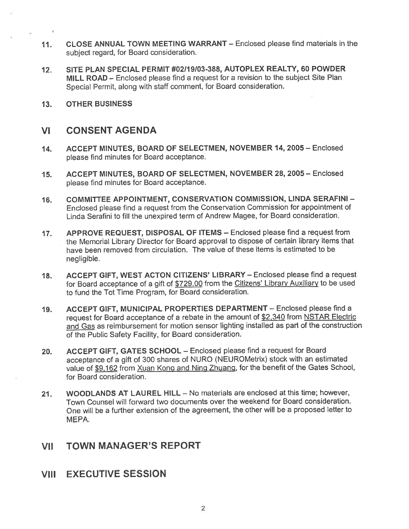- 11. CLOSE ANNUAL TOWN MEETING WARRANT Enclosed please find materials in the subject regard, for Board consideration.
- 12. SITE PLAN SPECIAL PERMIT #02119103-388, AUTOPLEX REALTY, 60 POWDER MILL ROAD — Enclosed <sup>p</sup>lease find <sup>a</sup> reques<sup>t</sup> for <sup>a</sup> revision to the subject Site Plan Special Permit, along with staff comment, for Board consideration.
- 13. OTHER BUSINESS

### VI CONSENT AGENDA

- 14. ACCEPT MINUTES, BOARD OF SELECTMEN, NOVEMBER 14, 2005 Enclosed please find minutes for Board acceptance.
- 15. ACCEPT MINUTES, BOARD OF SELECTMEN, NOVEMBER 28, 2005 Enclosed please find minutes for Board acceptance.
- 16. COMMITTEE APPOINTMENT, CONSERVATION COMMISSION, LINDA SERAFINI Enclosed <sup>p</sup>lease find <sup>a</sup> reques<sup>t</sup> from the Conservation Commission for appointment of Linda Serafini to fill the unexpired term of Andrew Magee, for Board consideration.
- 17. APPROVE REQUEST, DISPOSAL OF ITEMS Enclosed please find <sup>a</sup> reques<sup>t</sup> from the Memorial Library Director for Board approval to dispose of certain library items that have been removed from circulation. The value of these items is estimated to be negligible.
- 18. ACCEPT GIFT, WEST ACTON CITIZENS' LIBRARY Enclosed please find <sup>a</sup> reques<sup>t</sup> for Board acceptance of a gift of \$729.00 from the Citizens' Library Auxiliary to be used to fund the Tot Time Program, for Board consideration.
- 19. ACCEPT GIFT, MUNICIPAL PROPERTIES DEPARTMENT Enclosed please find <sup>a</sup> reques<sup>t</sup> for Board acceptance of <sup>a</sup> rebate in the amount of \$2,340 from NSTAR Electric and Gas as reimbursement for motion sensor lighting installed as par<sup>t</sup> of the construction of the Public Safety Facility, for Board consideration.
- 20. ACCEPT GIFT, GATES SCHOOL Enclosed please find <sup>a</sup> reques<sup>t</sup> for Board acceptance of <sup>a</sup> <sup>g</sup>ift of <sup>300</sup> shares of NURO (NEUROMetrix) stock with an estimated value of \$9,162 from Xuan Kong and Ning Zhuang, for the benefit of the Gates School, for Board consideration.
- 21. WOODLANDS AT LAUREL HILL No materials are enclosed at this time; however, Town Counsel will forward two documents over the weekend for Board consideration. One will be <sup>a</sup> further extension of the agreement, the other will be <sup>a</sup> proposed letter to MEPA.

# VII TOWN MANAGER'S REPORT

VIII EXECUTIVE SESSION